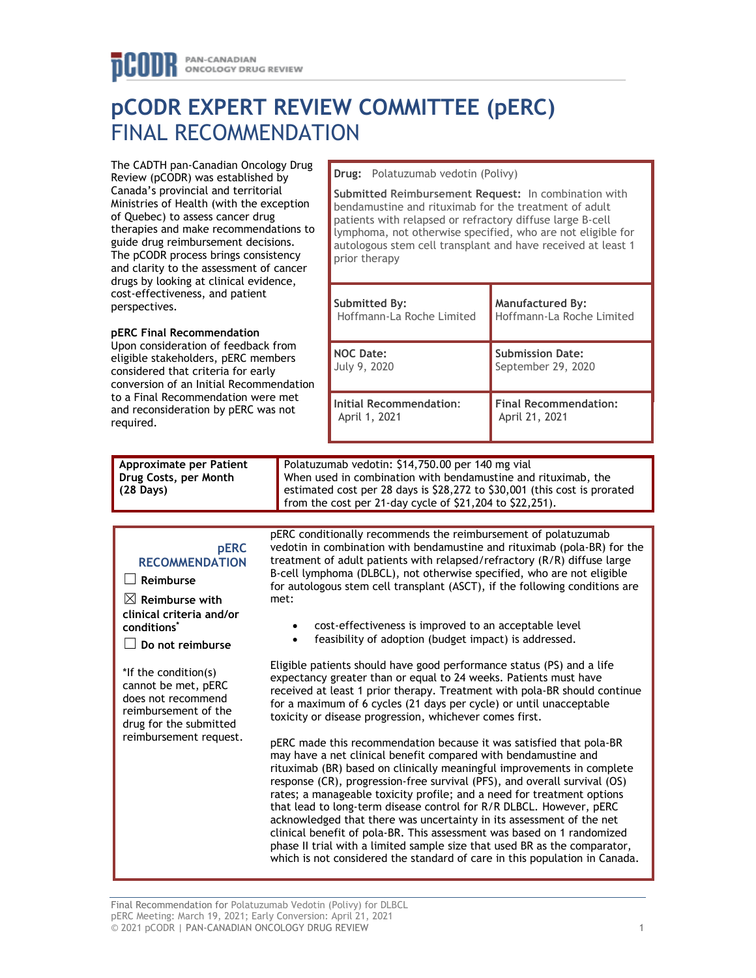# **pCODR EXPERT REVIEW COMMITTEE (pERC)** FINAL RECOMMENDATION

The CADTH pan-Canadian Oncology Drug Review (pCODR) was established by Canada's provincial and territorial Ministries of Health (with the exception of Quebec) to assess cancer drug therapies and make recommendations to guide drug reimbursement decisions. The pCODR process brings consistency and clarity to the assessment of cancer drugs by looking at clinical evidence, cost-effectiveness, and patient perspectives.

### **pERC Final Recommendation**

Upon consideration of feedback from eligible stakeholders, pERC members considered that criteria for early conversion of an Initial Recommendation to a Final Recommendation were met and reconsideration by pERC was not required.

**Drug:** Polatuzumab vedotin (Polivy)

**Submitted Reimbursement Request:** In combination with bendamustine and rituximab for the treatment of adult patients with relapsed or refractory diffuse large B-cell lymphoma, not otherwise specified, who are not eligible for autologous stem cell transplant and have received at least 1 prior therapy

| Submitted By:             | <b>Manufactured By:</b>      |
|---------------------------|------------------------------|
| Hoffmann-La Roche Limited | Hoffmann-La Roche Limited    |
| <b>NOC Date:</b>          | <b>Submission Date:</b>      |
| July 9, 2020              | September 29, 2020           |
| Initial Recommendation:   | <b>Final Recommendation:</b> |
| April 1, 2021             | April 21, 2021               |

| Approximate per Patient | Polatuzumab vedotin: \$14,750.00 per 140 mg vial                          |
|-------------------------|---------------------------------------------------------------------------|
| Drug Costs, per Month   | When used in combination with bendamustine and rituximab, the             |
| $(28 \text{ Days})$     | estimated cost per 28 days is \$28,272 to \$30,001 (this cost is prorated |
|                         | from the cost per 21-day cycle of $$21,204$ to $$22,251$ ).               |

#### **pERC RECOMMENDATION**

☐ **Reimburse**

☒ **Reimburse with clinical criteria and/or conditions\***

☐ **Do not reimburse**

\*If the condition(s) cannot be met, pERC does not recommend reimbursement of the drug for the submitted reimbursement request. pERC conditionally recommends the reimbursement of polatuzumab vedotin in combination with bendamustine and rituximab (pola-BR) for the treatment of adult patients with relapsed/refractory (R/R) diffuse large B-cell lymphoma (DLBCL), not otherwise specified, who are not eligible for autologous stem cell transplant (ASCT), if the following conditions are met:

- cost-effectiveness is improved to an acceptable level
- feasibility of adoption (budget impact) is addressed.

Eligible patients should have good performance status (PS) and a life expectancy greater than or equal to 24 weeks. Patients must have received at least 1 prior therapy. Treatment with pola-BR should continue for a maximum of 6 cycles (21 days per cycle) or until unacceptable toxicity or disease progression, whichever comes first.

pERC made this recommendation because it was satisfied that pola-BR may have a net clinical benefit compared with bendamustine and rituximab (BR) based on clinically meaningful improvements in complete response (CR), progression-free survival (PFS), and overall survival (OS) rates; a manageable toxicity profile; and a need for treatment options that lead to long-term disease control for R/R DLBCL. However, pERC acknowledged that there was uncertainty in its assessment of the net clinical benefit of pola-BR. This assessment was based on 1 randomized phase II trial with a limited sample size that used BR as the comparator, which is not considered the standard of care in this population in Canada.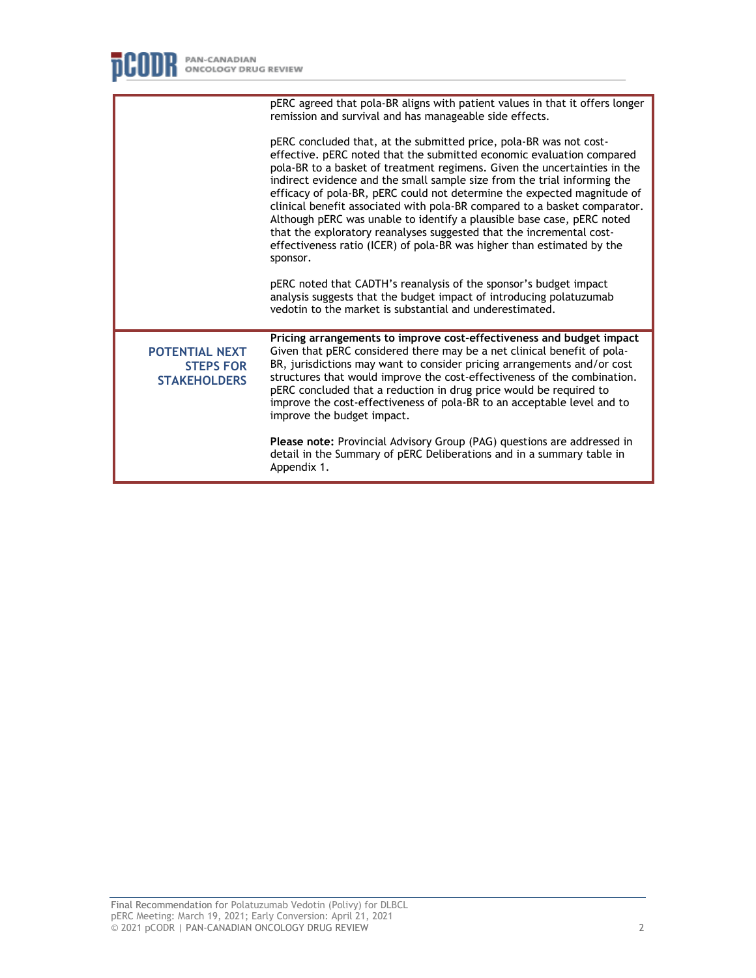|                                                                  | pERC agreed that pola-BR aligns with patient values in that it offers longer<br>remission and survival and has manageable side effects.                                                                                                                                                                                                                                                                                                                                                                                                                                                                                                                                                              |
|------------------------------------------------------------------|------------------------------------------------------------------------------------------------------------------------------------------------------------------------------------------------------------------------------------------------------------------------------------------------------------------------------------------------------------------------------------------------------------------------------------------------------------------------------------------------------------------------------------------------------------------------------------------------------------------------------------------------------------------------------------------------------|
|                                                                  | pERC concluded that, at the submitted price, pola-BR was not cost-<br>effective. pERC noted that the submitted economic evaluation compared<br>pola-BR to a basket of treatment regimens. Given the uncertainties in the<br>indirect evidence and the small sample size from the trial informing the<br>efficacy of pola-BR, pERC could not determine the expected magnitude of<br>clinical benefit associated with pola-BR compared to a basket comparator.<br>Although pERC was unable to identify a plausible base case, pERC noted<br>that the exploratory reanalyses suggested that the incremental cost-<br>effectiveness ratio (ICER) of pola-BR was higher than estimated by the<br>sponsor. |
|                                                                  | pERC noted that CADTH's reanalysis of the sponsor's budget impact<br>analysis suggests that the budget impact of introducing polatuzumab<br>vedotin to the market is substantial and underestimated.                                                                                                                                                                                                                                                                                                                                                                                                                                                                                                 |
| <b>POTENTIAL NEXT</b><br><b>STEPS FOR</b><br><b>STAKEHOLDERS</b> | Pricing arrangements to improve cost-effectiveness and budget impact<br>Given that pERC considered there may be a net clinical benefit of pola-<br>BR, jurisdictions may want to consider pricing arrangements and/or cost<br>structures that would improve the cost-effectiveness of the combination.<br>pERC concluded that a reduction in drug price would be required to<br>improve the cost-effectiveness of pola-BR to an acceptable level and to<br>improve the budget impact.                                                                                                                                                                                                                |
|                                                                  | Please note: Provincial Advisory Group (PAG) questions are addressed in<br>detail in the Summary of pERC Deliberations and in a summary table in<br>Appendix 1.                                                                                                                                                                                                                                                                                                                                                                                                                                                                                                                                      |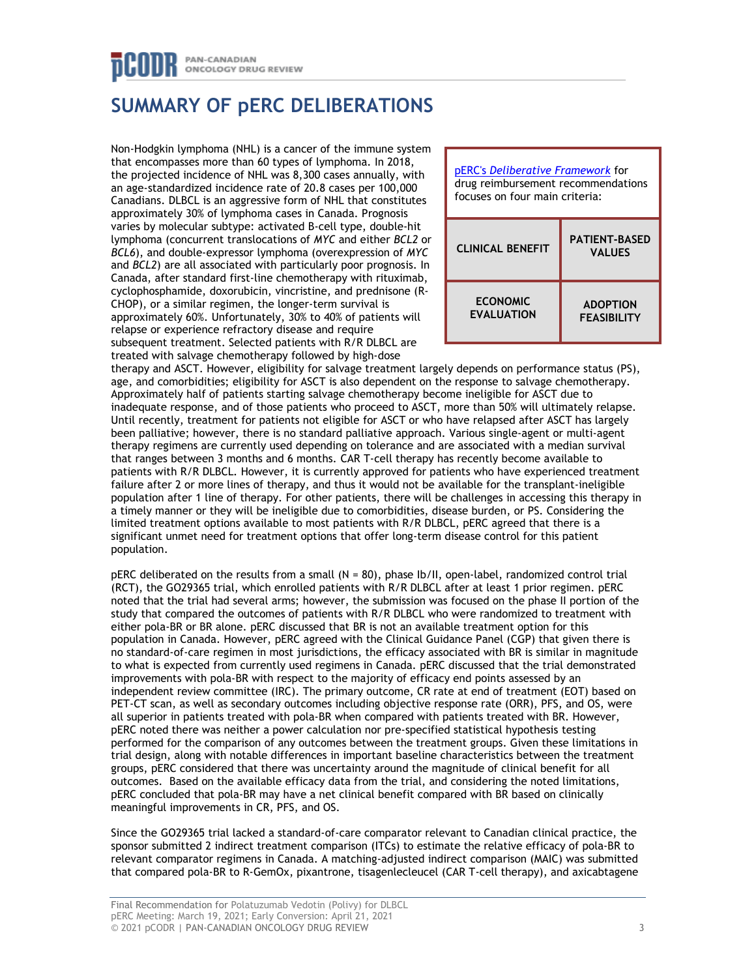## PAN-CANADIAN **ONCOLOGY DRUG REVIEW**

## **SUMMARY OF pERC DELIBERATIONS**

Non-Hodgkin lymphoma (NHL) is a cancer of the immune system that encompasses more than 60 types of lymphoma. In 2018, the projected incidence of NHL was 8,300 cases annually, with an age-standardized incidence rate of 20.8 cases per 100,000 Canadians. DLBCL is an aggressive form of NHL that constitutes approximately 30% of lymphoma cases in Canada. Prognosis varies by molecular subtype: activated B-cell type, double-hit lymphoma (concurrent translocations of *MYC* and either *BCL2* or *BCL6*), and double-expressor lymphoma (overexpression of *MYC* and *BCL2*) are all associated with particularly poor prognosis. In Canada, after standard first-line chemotherapy with rituximab, cyclophosphamide, doxorubicin, vincristine, and prednisone (R-CHOP), or a similar regimen, the longer-term survival is approximately 60%. Unfortunately, 30% to 40% of patients will relapse or experience refractory disease and require subsequent treatment. Selected patients with R/R DLBCL are treated with salvage chemotherapy followed by high-dose



therapy and ASCT. However, eligibility for salvage treatment largely depends on performance status (PS), age, and comorbidities; eligibility for ASCT is also dependent on the response to salvage chemotherapy. Approximately half of patients starting salvage chemotherapy become ineligible for ASCT due to inadequate response, and of those patients who proceed to ASCT, more than 50% will ultimately relapse. Until recently, treatment for patients not eligible for ASCT or who have relapsed after ASCT has largely been palliative; however, there is no standard palliative approach. Various single-agent or multi-agent therapy regimens are currently used depending on tolerance and are associated with a median survival that ranges between 3 months and 6 months. CAR T-cell therapy has recently become available to patients with R/R DLBCL. However, it is currently approved for patients who have experienced treatment failure after 2 or more lines of therapy, and thus it would not be available for the transplant-ineligible population after 1 line of therapy. For other patients, there will be challenges in accessing this therapy in a timely manner or they will be ineligible due to comorbidities, disease burden, or PS. Considering the limited treatment options available to most patients with R/R DLBCL, pERC agreed that there is a significant unmet need for treatment options that offer long-term disease control for this patient population.

pERC deliberated on the results from a small (N = 80), phase Ib/II, open-label, randomized control trial (RCT), the GO29365 trial, which enrolled patients with R/R DLBCL after at least 1 prior regimen. pERC noted that the trial had several arms; however, the submission was focused on the phase II portion of the study that compared the outcomes of patients with R/R DLBCL who were randomized to treatment with either pola-BR or BR alone. pERC discussed that BR is not an available treatment option for this population in Canada. However, pERC agreed with the Clinical Guidance Panel (CGP) that given there is no standard-of-care regimen in most jurisdictions, the efficacy associated with BR is similar in magnitude to what is expected from currently used regimens in Canada. pERC discussed that the trial demonstrated improvements with pola-BR with respect to the majority of efficacy end points assessed by an independent review committee (IRC). The primary outcome, CR rate at end of treatment (EOT) based on PET-CT scan, as well as secondary outcomes including objective response rate (ORR), PFS, and OS, were all superior in patients treated with pola-BR when compared with patients treated with BR. However, pERC noted there was neither a power calculation nor pre-specified statistical hypothesis testing performed for the comparison of any outcomes between the treatment groups. Given these limitations in trial design, along with notable differences in important baseline characteristics between the treatment groups, pERC considered that there was uncertainty around the magnitude of clinical benefit for all outcomes. Based on the available efficacy data from the trial, and considering the noted limitations, pERC concluded that pola-BR may have a net clinical benefit compared with BR based on clinically meaningful improvements in CR, PFS, and OS.

Since the GO29365 trial lacked a standard-of-care comparator relevant to Canadian clinical practice, the sponsor submitted 2 indirect treatment comparison (ITCs) to estimate the relative efficacy of pola-BR to relevant comparator regimens in Canada. A matching-adjusted indirect comparison (MAIC) was submitted that compared pola-BR to R-GemOx, pixantrone, tisagenlecleucel (CAR T-cell therapy), and axicabtagene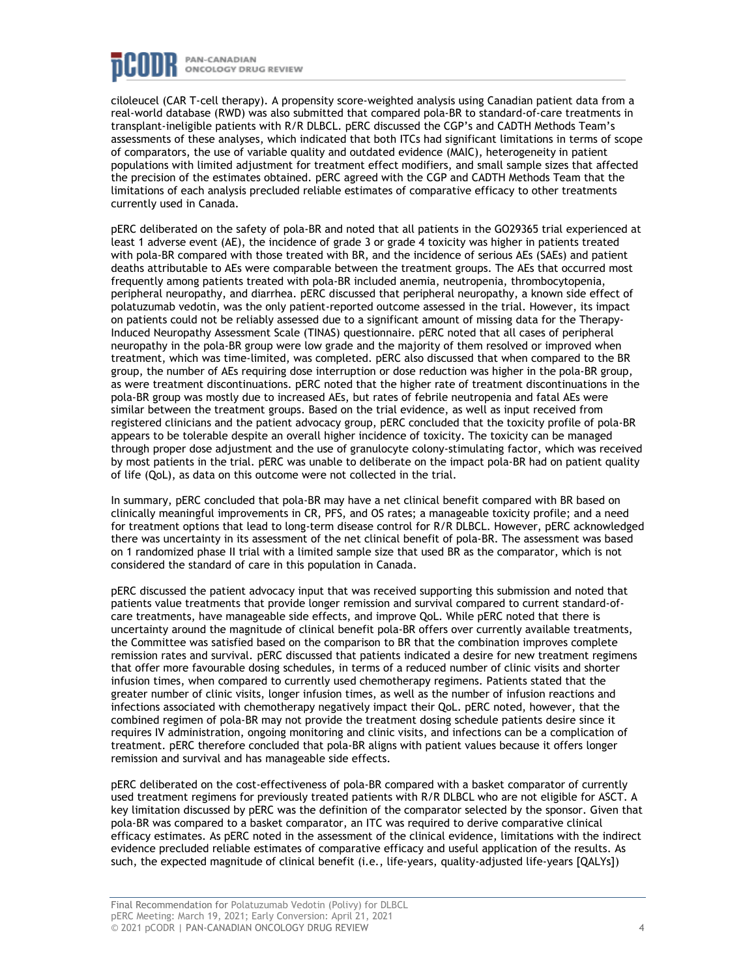

ciloleucel (CAR T-cell therapy). A propensity score-weighted analysis using Canadian patient data from a real-world database (RWD) was also submitted that compared pola-BR to standard-of-care treatments in transplant-ineligible patients with R/R DLBCL. pERC discussed the CGP's and CADTH Methods Team's assessments of these analyses, which indicated that both ITCs had significant limitations in terms of scope of comparators, the use of variable quality and outdated evidence (MAIC), heterogeneity in patient populations with limited adjustment for treatment effect modifiers, and small sample sizes that affected the precision of the estimates obtained. pERC agreed with the CGP and CADTH Methods Team that the limitations of each analysis precluded reliable estimates of comparative efficacy to other treatments currently used in Canada.

pERC deliberated on the safety of pola-BR and noted that all patients in the GO29365 trial experienced at least 1 adverse event (AE), the incidence of grade 3 or grade 4 toxicity was higher in patients treated with pola-BR compared with those treated with BR, and the incidence of serious AEs (SAEs) and patient deaths attributable to AEs were comparable between the treatment groups. The AEs that occurred most frequently among patients treated with pola-BR included anemia, neutropenia, thrombocytopenia, peripheral neuropathy, and diarrhea. pERC discussed that peripheral neuropathy, a known side effect of polatuzumab vedotin, was the only patient-reported outcome assessed in the trial. However, its impact on patients could not be reliably assessed due to a significant amount of missing data for the Therapy-Induced Neuropathy Assessment Scale (TINAS) questionnaire. pERC noted that all cases of peripheral neuropathy in the pola-BR group were low grade and the majority of them resolved or improved when treatment, which was time-limited, was completed. pERC also discussed that when compared to the BR group, the number of AEs requiring dose interruption or dose reduction was higher in the pola-BR group, as were treatment discontinuations. pERC noted that the higher rate of treatment discontinuations in the pola-BR group was mostly due to increased AEs, but rates of febrile neutropenia and fatal AEs were similar between the treatment groups. Based on the trial evidence, as well as input received from registered clinicians and the patient advocacy group, pERC concluded that the toxicity profile of pola-BR appears to be tolerable despite an overall higher incidence of toxicity. The toxicity can be managed through proper dose adjustment and the use of granulocyte colony-stimulating factor, which was received by most patients in the trial. pERC was unable to deliberate on the impact pola-BR had on patient quality of life (QoL), as data on this outcome were not collected in the trial.

In summary, pERC concluded that pola-BR may have a net clinical benefit compared with BR based on clinically meaningful improvements in CR, PFS, and OS rates; a manageable toxicity profile; and a need for treatment options that lead to long-term disease control for R/R DLBCL. However, pERC acknowledged there was uncertainty in its assessment of the net clinical benefit of pola-BR. The assessment was based on 1 randomized phase II trial with a limited sample size that used BR as the comparator, which is not considered the standard of care in this population in Canada.

pERC discussed the patient advocacy input that was received supporting this submission and noted that patients value treatments that provide longer remission and survival compared to current standard-ofcare treatments, have manageable side effects, and improve QoL. While pERC noted that there is uncertainty around the magnitude of clinical benefit pola-BR offers over currently available treatments, the Committee was satisfied based on the comparison to BR that the combination improves complete remission rates and survival. pERC discussed that patients indicated a desire for new treatment regimens that offer more favourable dosing schedules, in terms of a reduced number of clinic visits and shorter infusion times, when compared to currently used chemotherapy regimens. Patients stated that the greater number of clinic visits, longer infusion times, as well as the number of infusion reactions and infections associated with chemotherapy negatively impact their QoL. pERC noted, however, that the combined regimen of pola-BR may not provide the treatment dosing schedule patients desire since it requires IV administration, ongoing monitoring and clinic visits, and infections can be a complication of treatment. pERC therefore concluded that pola-BR aligns with patient values because it offers longer remission and survival and has manageable side effects.

pERC deliberated on the cost-effectiveness of pola-BR compared with a basket comparator of currently used treatment regimens for previously treated patients with R/R DLBCL who are not eligible for ASCT. A key limitation discussed by pERC was the definition of the comparator selected by the sponsor. Given that pola-BR was compared to a basket comparator, an ITC was required to derive comparative clinical efficacy estimates. As pERC noted in the assessment of the clinical evidence, limitations with the indirect evidence precluded reliable estimates of comparative efficacy and useful application of the results. As such, the expected magnitude of clinical benefit (i.e., life-years, quality-adjusted life-years [QALYs])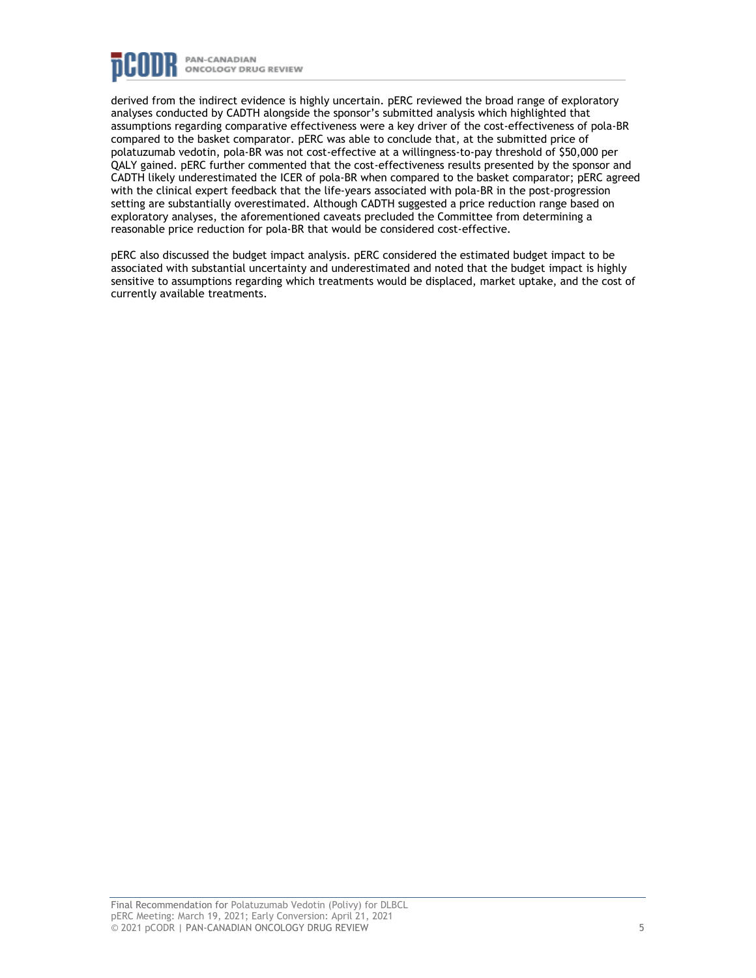

derived from the indirect evidence is highly uncertain. pERC reviewed the broad range of exploratory analyses conducted by CADTH alongside the sponsor's submitted analysis which highlighted that assumptions regarding comparative effectiveness were a key driver of the cost-effectiveness of pola-BR compared to the basket comparator. pERC was able to conclude that, at the submitted price of polatuzumab vedotin, pola-BR was not cost-effective at a willingness-to-pay threshold of \$50,000 per QALY gained. pERC further commented that the cost-effectiveness results presented by the sponsor and CADTH likely underestimated the ICER of pola-BR when compared to the basket comparator; pERC agreed with the clinical expert feedback that the life-years associated with pola-BR in the post-progression setting are substantially overestimated. Although CADTH suggested a price reduction range based on exploratory analyses, the aforementioned caveats precluded the Committee from determining a reasonable price reduction for pola-BR that would be considered cost-effective.

pERC also discussed the budget impact analysis. pERC considered the estimated budget impact to be associated with substantial uncertainty and underestimated and noted that the budget impact is highly sensitive to assumptions regarding which treatments would be displaced, market uptake, and the cost of currently available treatments.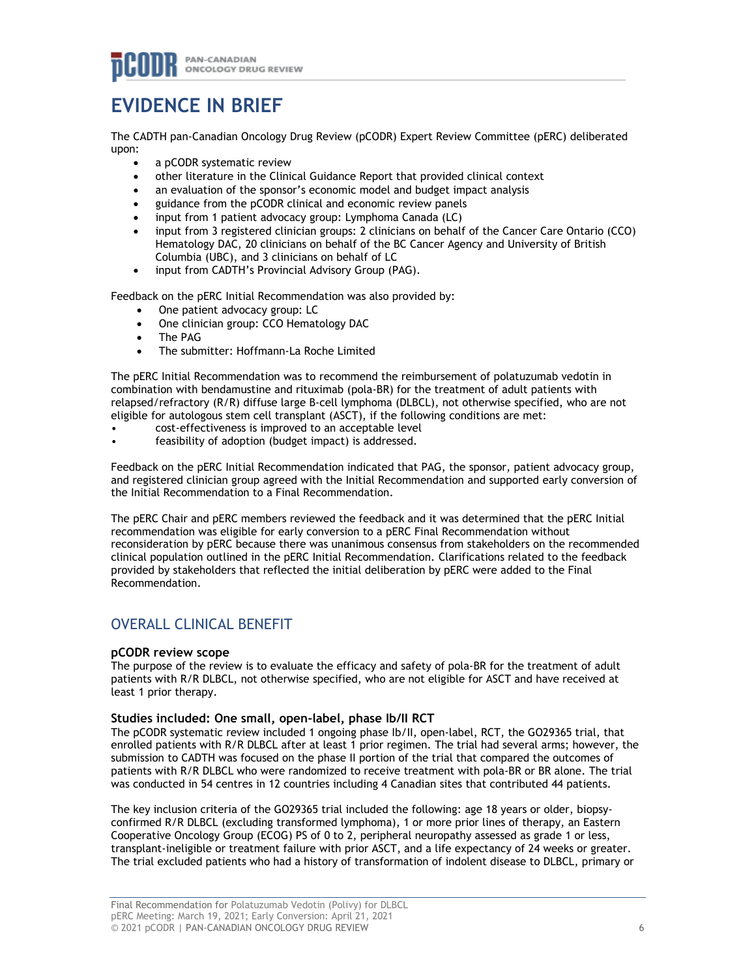## **EVIDENCE IN BRIEF**

The CADTH pan-Canadian Oncology Drug Review (pCODR) Expert Review Committee (pERC) deliberated upon:

- a pCODR systematic review
- other literature in the Clinical Guidance Report that provided clinical context
- an evaluation of the sponsor's economic model and budget impact analysis
- guidance from the pCODR clinical and economic review panels
- input from 1 patient advocacy group: Lymphoma Canada (LC)
- input from 3 registered clinician groups: 2 clinicians on behalf of the Cancer Care Ontario (CCO) Hematology DAC, 20 clinicians on behalf of the BC Cancer Agency and University of British Columbia (UBC), and 3 clinicians on behalf of LC
- input from CADTH's Provincial Advisory Group (PAG).

Feedback on the pERC Initial Recommendation was also provided by:

- One patient advocacy group: LC
- One clinician group: CCO Hematology DAC
- The PAG
- The submitter: Hoffmann-La Roche Limited

The pERC Initial Recommendation was to recommend the reimbursement of polatuzumab vedotin in combination with bendamustine and rituximab (pola-BR) for the treatment of adult patients with relapsed/refractory (R/R) diffuse large B-cell lymphoma (DLBCL), not otherwise specified, who are not eligible for autologous stem cell transplant (ASCT), if the following conditions are met:

- cost-effectiveness is improved to an acceptable level
- feasibility of adoption (budget impact) is addressed.

Feedback on the pERC Initial Recommendation indicated that PAG, the sponsor, patient advocacy group, and registered clinician group agreed with the Initial Recommendation and supported early conversion of the Initial Recommendation to a Final Recommendation.

The pERC Chair and pERC members reviewed the feedback and it was determined that the pERC Initial recommendation was eligible for early conversion to a pERC Final Recommendation without reconsideration by pERC because there was unanimous consensus from stakeholders on the recommended clinical population outlined in the pERC Initial Recommendation. Clarifications related to the feedback provided by stakeholders that reflected the initial deliberation by pERC were added to the Final Recommendation.

## OVERALL CLINICAL BENEFIT

#### **pCODR review scope**

The purpose of the review is to evaluate the efficacy and safety of pola-BR for the treatment of adult patients with R/R DLBCL, not otherwise specified, who are not eligible for ASCT and have received at least 1 prior therapy.

#### **Studies included: One small, open-label, phase Ib/II RCT**

The pCODR systematic review included 1 ongoing phase Ib/II, open-label, RCT, the GO29365 trial, that enrolled patients with R/R DLBCL after at least 1 prior regimen. The trial had several arms; however, the submission to CADTH was focused on the phase II portion of the trial that compared the outcomes of patients with R/R DLBCL who were randomized to receive treatment with pola-BR or BR alone. The trial was conducted in 54 centres in 12 countries including 4 Canadian sites that contributed 44 patients.

The key inclusion criteria of the GO29365 trial included the following: age 18 years or older, biopsyconfirmed R/R DLBCL (excluding transformed lymphoma), 1 or more prior lines of therapy, an Eastern Cooperative Oncology Group (ECOG) PS of 0 to 2, peripheral neuropathy assessed as grade 1 or less, transplant-ineligible or treatment failure with prior ASCT, and a life expectancy of 24 weeks or greater. The trial excluded patients who had a history of transformation of indolent disease to DLBCL, primary or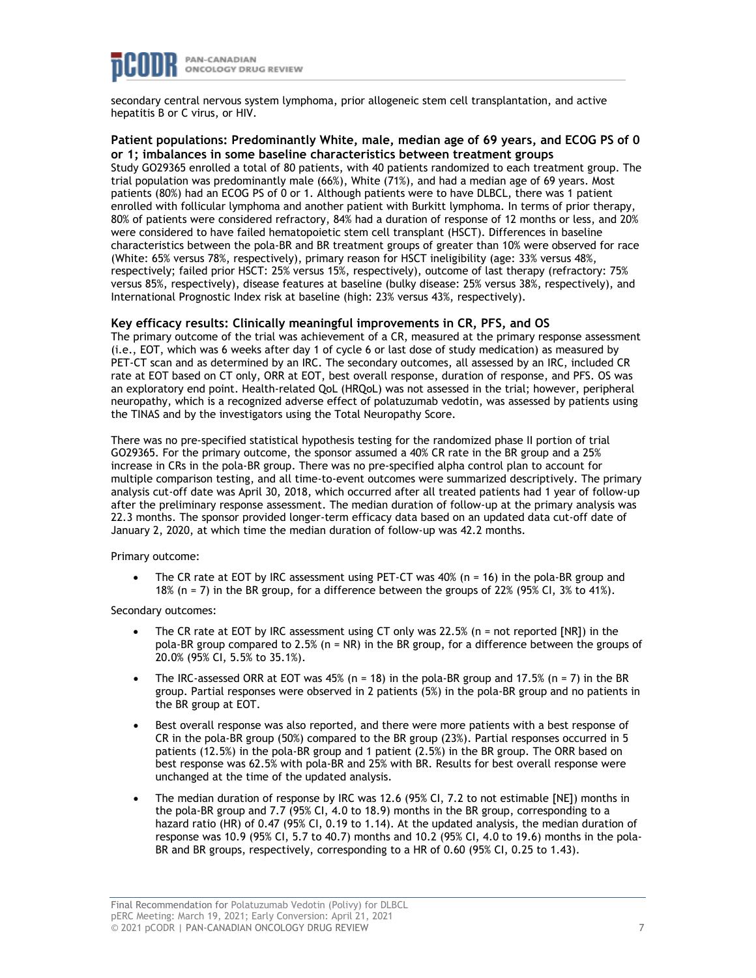

secondary central nervous system lymphoma, prior allogeneic stem cell transplantation, and active hepatitis B or C virus, or HIV.

#### **Patient populations: Predominantly White, male, median age of 69 years, and ECOG PS of 0 or 1; imbalances in some baseline characteristics between treatment groups**

Study GO29365 enrolled a total of 80 patients, with 40 patients randomized to each treatment group. The trial population was predominantly male (66%), White (71%), and had a median age of 69 years. Most patients (80%) had an ECOG PS of 0 or 1. Although patients were to have DLBCL, there was 1 patient enrolled with follicular lymphoma and another patient with Burkitt lymphoma. In terms of prior therapy, 80% of patients were considered refractory, 84% had a duration of response of 12 months or less, and 20% were considered to have failed hematopoietic stem cell transplant (HSCT). Differences in baseline characteristics between the pola-BR and BR treatment groups of greater than 10% were observed for race (White: 65% versus 78%, respectively), primary reason for HSCT ineligibility (age: 33% versus 48%, respectively; failed prior HSCT: 25% versus 15%, respectively), outcome of last therapy (refractory: 75% versus 85%, respectively), disease features at baseline (bulky disease: 25% versus 38%, respectively), and International Prognostic Index risk at baseline (high: 23% versus 43%, respectively).

#### **Key efficacy results: Clinically meaningful improvements in CR, PFS, and OS**

The primary outcome of the trial was achievement of a CR, measured at the primary response assessment (i.e., EOT, which was 6 weeks after day 1 of cycle 6 or last dose of study medication) as measured by PET-CT scan and as determined by an IRC. The secondary outcomes, all assessed by an IRC, included CR rate at EOT based on CT only, ORR at EOT, best overall response, duration of response, and PFS. OS was an exploratory end point. Health-related QoL (HRQoL) was not assessed in the trial; however, peripheral neuropathy, which is a recognized adverse effect of polatuzumab vedotin, was assessed by patients using the TINAS and by the investigators using the Total Neuropathy Score.

There was no pre-specified statistical hypothesis testing for the randomized phase II portion of trial GO29365. For the primary outcome, the sponsor assumed a 40% CR rate in the BR group and a 25% increase in CRs in the pola-BR group. There was no pre-specified alpha control plan to account for multiple comparison testing, and all time-to-event outcomes were summarized descriptively. The primary analysis cut-off date was April 30, 2018, which occurred after all treated patients had 1 year of follow-up after the preliminary response assessment. The median duration of follow-up at the primary analysis was 22.3 months. The sponsor provided longer-term efficacy data based on an updated data cut-off date of January 2, 2020, at which time the median duration of follow-up was 42.2 months.

Primary outcome:

The CR rate at EOT by IRC assessment using PET-CT was 40% (n = 16) in the pola-BR group and 18% (n = 7) in the BR group, for a difference between the groups of 22% (95% CI, 3% to 41%).

Secondary outcomes:

- The CR rate at EOT by IRC assessment using CT only was 22.5% ( $n = not$  reported [NR]) in the pola-BR group compared to 2.5% (n = NR) in the BR group, for a difference between the groups of 20.0% (95% CI, 5.5% to 35.1%).
- The IRC-assessed ORR at EOT was 45% (n = 18) in the pola-BR group and 17.5% (n = 7) in the BR group. Partial responses were observed in 2 patients (5%) in the pola-BR group and no patients in the BR group at EOT.
- Best overall response was also reported, and there were more patients with a best response of CR in the pola-BR group (50%) compared to the BR group (23%). Partial responses occurred in 5 patients (12.5%) in the pola-BR group and 1 patient (2.5%) in the BR group. The ORR based on best response was 62.5% with pola-BR and 25% with BR. Results for best overall response were unchanged at the time of the updated analysis.
- The median duration of response by IRC was 12.6 (95% CI, 7.2 to not estimable [NE]) months in the pola-BR group and 7.7 (95% CI, 4.0 to 18.9) months in the BR group, corresponding to a hazard ratio (HR) of 0.47 (95% CI, 0.19 to 1.14). At the updated analysis, the median duration of response was 10.9 (95% CI, 5.7 to 40.7) months and 10.2 (95% CI, 4.0 to 19.6) months in the pola-BR and BR groups, respectively, corresponding to a HR of 0.60 (95% CI, 0.25 to 1.43).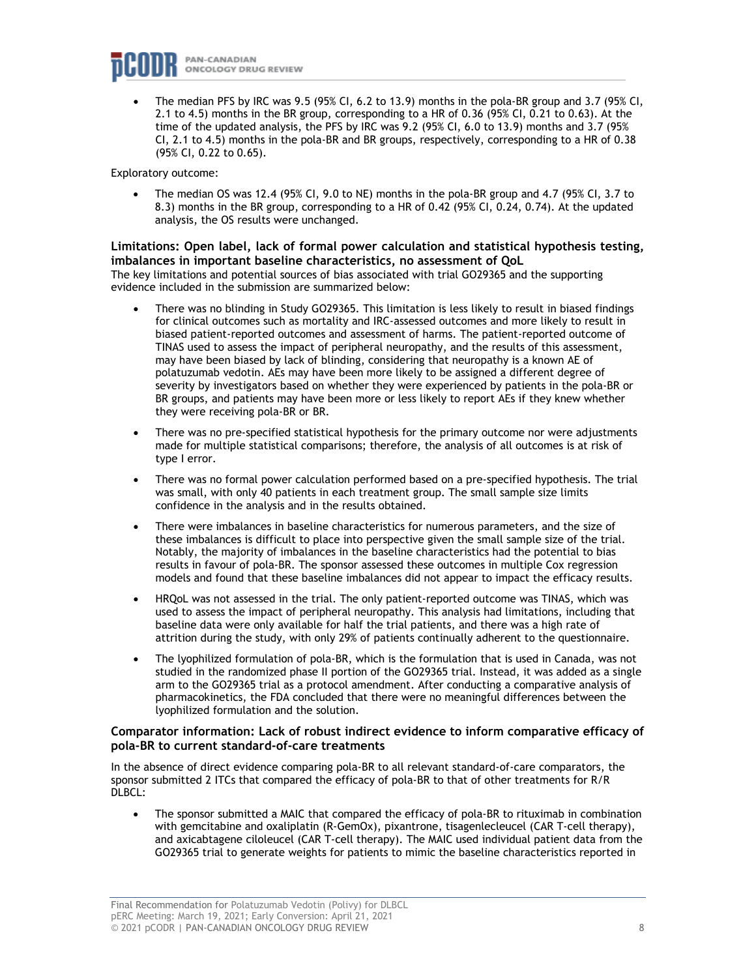

• The median PFS by IRC was 9.5 (95% CI, 6.2 to 13.9) months in the pola-BR group and 3.7 (95% CI, 2.1 to 4.5) months in the BR group, corresponding to a HR of 0.36 (95% CI, 0.21 to 0.63). At the time of the updated analysis, the PFS by IRC was 9.2 (95% CI, 6.0 to 13.9) months and 3.7 (95% CI, 2.1 to 4.5) months in the pola-BR and BR groups, respectively, corresponding to a HR of 0.38 (95% CI, 0.22 to 0.65).

Exploratory outcome:

• The median OS was 12.4 (95% CI, 9.0 to NE) months in the pola-BR group and 4.7 (95% CI, 3.7 to 8.3) months in the BR group, corresponding to a HR of 0.42 (95% CI, 0.24, 0.74). At the updated analysis, the OS results were unchanged.

#### **Limitations: Open label, lack of formal power calculation and statistical hypothesis testing, imbalances in important baseline characteristics, no assessment of QoL**

The key limitations and potential sources of bias associated with trial GO29365 and the supporting evidence included in the submission are summarized below:

- There was no blinding in Study GO29365. This limitation is less likely to result in biased findings for clinical outcomes such as mortality and IRC-assessed outcomes and more likely to result in biased patient-reported outcomes and assessment of harms. The patient-reported outcome of TINAS used to assess the impact of peripheral neuropathy, and the results of this assessment, may have been biased by lack of blinding, considering that neuropathy is a known AE of polatuzumab vedotin. AEs may have been more likely to be assigned a different degree of severity by investigators based on whether they were experienced by patients in the pola-BR or BR groups, and patients may have been more or less likely to report AEs if they knew whether they were receiving pola-BR or BR.
- There was no pre-specified statistical hypothesis for the primary outcome nor were adjustments made for multiple statistical comparisons; therefore, the analysis of all outcomes is at risk of type I error.
- There was no formal power calculation performed based on a pre-specified hypothesis. The trial was small, with only 40 patients in each treatment group. The small sample size limits confidence in the analysis and in the results obtained.
- There were imbalances in baseline characteristics for numerous parameters, and the size of these imbalances is difficult to place into perspective given the small sample size of the trial. Notably, the majority of imbalances in the baseline characteristics had the potential to bias results in favour of pola-BR. The sponsor assessed these outcomes in multiple Cox regression models and found that these baseline imbalances did not appear to impact the efficacy results.
- HRQoL was not assessed in the trial. The only patient-reported outcome was TINAS, which was used to assess the impact of peripheral neuropathy. This analysis had limitations, including that baseline data were only available for half the trial patients, and there was a high rate of attrition during the study, with only 29% of patients continually adherent to the questionnaire.
- The lyophilized formulation of pola-BR, which is the formulation that is used in Canada, was not studied in the randomized phase II portion of the GO29365 trial. Instead, it was added as a single arm to the GO29365 trial as a protocol amendment. After conducting a comparative analysis of pharmacokinetics, the FDA concluded that there were no meaningful differences between the lyophilized formulation and the solution.

#### **Comparator information: Lack of robust indirect evidence to inform comparative efficacy of pola-BR to current standard-of-care treatments**

In the absence of direct evidence comparing pola-BR to all relevant standard-of-care comparators, the sponsor submitted 2 ITCs that compared the efficacy of pola-BR to that of other treatments for R/R DLBCL:

• The sponsor submitted a MAIC that compared the efficacy of pola-BR to rituximab in combination with gemcitabine and oxaliplatin (R-GemOx), pixantrone, tisagenlecleucel (CAR T-cell therapy), and axicabtagene ciloleucel (CAR T-cell therapy). The MAIC used individual patient data from the GO29365 trial to generate weights for patients to mimic the baseline characteristics reported in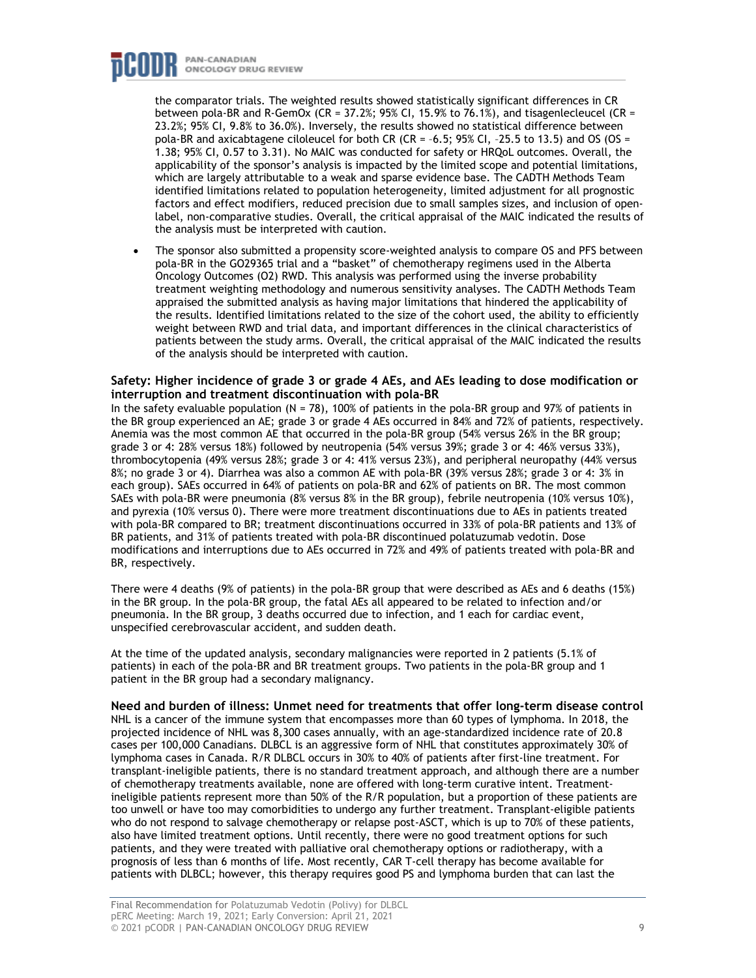### PAN-CANADIAN **ONCOLOGY DRUG REVIEW**

the comparator trials. The weighted results showed statistically significant differences in CR between pola-BR and R-GemOx (CR = 37.2%; 95% CI, 15.9% to 76.1%), and tisagenlecleucel (CR = 23.2%; 95% CI, 9.8% to 36.0%). Inversely, the results showed no statistical difference between pola-BR and axicabtagene ciloleucel for both CR (CR =  $-6.5$ ; 95% CI,  $-25.5$  to 13.5) and OS (OS = 1.38; 95% CI, 0.57 to 3.31). No MAIC was conducted for safety or HRQoL outcomes. Overall, the applicability of the sponsor's analysis is impacted by the limited scope and potential limitations, which are largely attributable to a weak and sparse evidence base. The CADTH Methods Team identified limitations related to population heterogeneity, limited adjustment for all prognostic factors and effect modifiers, reduced precision due to small samples sizes, and inclusion of openlabel, non-comparative studies. Overall, the critical appraisal of the MAIC indicated the results of the analysis must be interpreted with caution.

• The sponsor also submitted a propensity score-weighted analysis to compare OS and PFS between pola-BR in the GO29365 trial and a "basket" of chemotherapy regimens used in the Alberta Oncology Outcomes (O2) RWD. This analysis was performed using the inverse probability treatment weighting methodology and numerous sensitivity analyses. The CADTH Methods Team appraised the submitted analysis as having major limitations that hindered the applicability of the results. Identified limitations related to the size of the cohort used, the ability to efficiently weight between RWD and trial data, and important differences in the clinical characteristics of patients between the study arms. Overall, the critical appraisal of the MAIC indicated the results of the analysis should be interpreted with caution.

#### **Safety: Higher incidence of grade 3 or grade 4 AEs, and AEs leading to dose modification or interruption and treatment discontinuation with pola-BR**

In the safety evaluable population (N = 78), 100% of patients in the pola-BR group and 97% of patients in the BR group experienced an AE; grade 3 or grade 4 AEs occurred in 84% and 72% of patients, respectively. Anemia was the most common AE that occurred in the pola-BR group (54% versus 26% in the BR group; grade 3 or 4: 28% versus 18%) followed by neutropenia (54% versus 39%; grade 3 or 4: 46% versus 33%), thrombocytopenia (49% versus 28%; grade 3 or 4: 41% versus 23%), and peripheral neuropathy (44% versus 8%; no grade 3 or 4). Diarrhea was also a common AE with pola-BR (39% versus 28%; grade 3 or 4: 3% in each group). SAEs occurred in 64% of patients on pola-BR and 62% of patients on BR. The most common SAEs with pola-BR were pneumonia (8% versus 8% in the BR group), febrile neutropenia (10% versus 10%), and pyrexia (10% versus 0). There were more treatment discontinuations due to AEs in patients treated with pola-BR compared to BR; treatment discontinuations occurred in 33% of pola-BR patients and 13% of BR patients, and 31% of patients treated with pola-BR discontinued polatuzumab vedotin. Dose modifications and interruptions due to AEs occurred in 72% and 49% of patients treated with pola-BR and BR, respectively.

There were 4 deaths (9% of patients) in the pola-BR group that were described as AEs and 6 deaths (15%) in the BR group. In the pola-BR group, the fatal AEs all appeared to be related to infection and/or pneumonia. In the BR group, 3 deaths occurred due to infection, and 1 each for cardiac event, unspecified cerebrovascular accident, and sudden death.

At the time of the updated analysis, secondary malignancies were reported in 2 patients (5.1% of patients) in each of the pola-BR and BR treatment groups. Two patients in the pola-BR group and 1 patient in the BR group had a secondary malignancy.

**Need and burden of illness: Unmet need for treatments that offer long-term disease control** NHL is a cancer of the immune system that encompasses more than 60 types of lymphoma. In 2018, the projected incidence of NHL was 8,300 cases annually, with an age-standardized incidence rate of 20.8 cases per 100,000 Canadians. DLBCL is an aggressive form of NHL that constitutes approximately 30% of lymphoma cases in Canada. R/R DLBCL occurs in 30% to 40% of patients after first-line treatment. For transplant-ineligible patients, there is no standard treatment approach, and although there are a number of chemotherapy treatments available, none are offered with long-term curative intent. Treatmentineligible patients represent more than 50% of the R/R population, but a proportion of these patients are too unwell or have too may comorbidities to undergo any further treatment. Transplant-eligible patients who do not respond to salvage chemotherapy or relapse post-ASCT, which is up to 70% of these patients, also have limited treatment options. Until recently, there were no good treatment options for such patients, and they were treated with palliative oral chemotherapy options or radiotherapy, with a prognosis of less than 6 months of life. Most recently, CAR T-cell therapy has become available for patients with DLBCL; however, this therapy requires good PS and lymphoma burden that can last the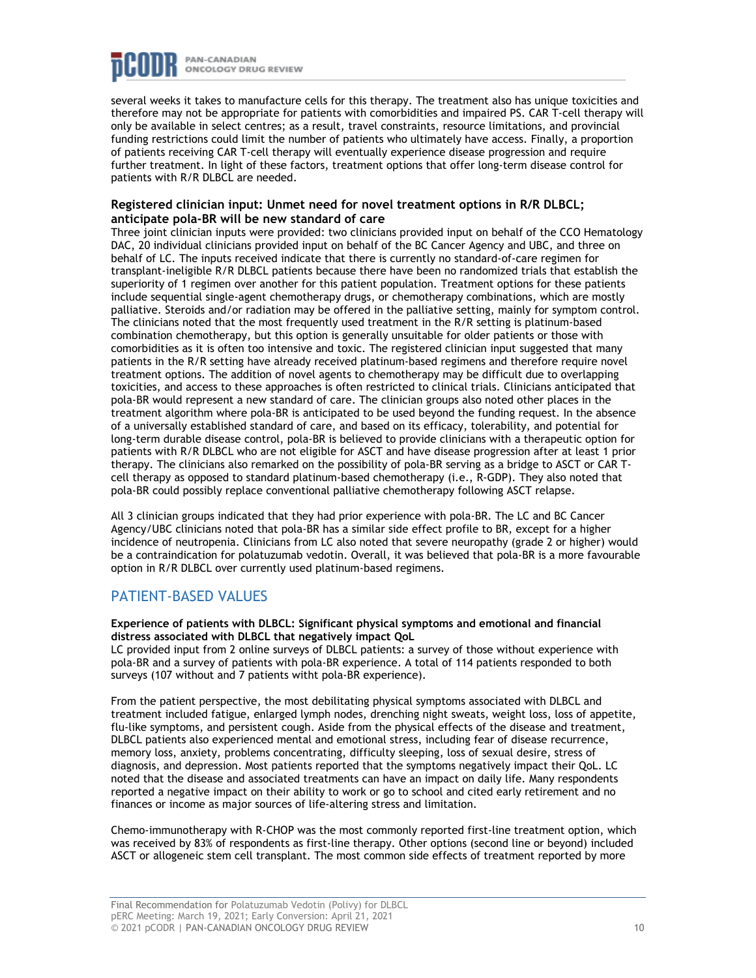

several weeks it takes to manufacture cells for this therapy. The treatment also has unique toxicities and therefore may not be appropriate for patients with comorbidities and impaired PS. CAR T-cell therapy will only be available in select centres; as a result, travel constraints, resource limitations, and provincial funding restrictions could limit the number of patients who ultimately have access. Finally, a proportion of patients receiving CAR T-cell therapy will eventually experience disease progression and require further treatment. In light of these factors, treatment options that offer long-term disease control for patients with R/R DLBCL are needed.

#### **Registered clinician input: Unmet need for novel treatment options in R/R DLBCL; anticipate pola-BR will be new standard of care**

Three joint clinician inputs were provided: two clinicians provided input on behalf of the CCO Hematology DAC, 20 individual clinicians provided input on behalf of the BC Cancer Agency and UBC, and three on behalf of LC. The inputs received indicate that there is currently no standard-of-care regimen for transplant-ineligible R/R DLBCL patients because there have been no randomized trials that establish the superiority of 1 regimen over another for this patient population. Treatment options for these patients include sequential single-agent chemotherapy drugs, or chemotherapy combinations, which are mostly palliative. Steroids and/or radiation may be offered in the palliative setting, mainly for symptom control. The clinicians noted that the most frequently used treatment in the R/R setting is platinum-based combination chemotherapy, but this option is generally unsuitable for older patients or those with comorbidities as it is often too intensive and toxic. The registered clinician input suggested that many patients in the R/R setting have already received platinum-based regimens and therefore require novel treatment options. The addition of novel agents to chemotherapy may be difficult due to overlapping toxicities, and access to these approaches is often restricted to clinical trials. Clinicians anticipated that pola-BR would represent a new standard of care. The clinician groups also noted other places in the treatment algorithm where pola-BR is anticipated to be used beyond the funding request. In the absence of a universally established standard of care, and based on its efficacy, tolerability, and potential for long-term durable disease control, pola-BR is believed to provide clinicians with a therapeutic option for patients with R/R DLBCL who are not eligible for ASCT and have disease progression after at least 1 prior therapy. The clinicians also remarked on the possibility of pola-BR serving as a bridge to ASCT or CAR Tcell therapy as opposed to standard platinum-based chemotherapy (i.e., R-GDP). They also noted that pola-BR could possibly replace conventional palliative chemotherapy following ASCT relapse.

All 3 clinician groups indicated that they had prior experience with pola-BR. The LC and BC Cancer Agency/UBC clinicians noted that pola-BR has a similar side effect profile to BR, except for a higher incidence of neutropenia. Clinicians from LC also noted that severe neuropathy (grade 2 or higher) would be a contraindication for polatuzumab vedotin. Overall, it was believed that pola-BR is a more favourable option in R/R DLBCL over currently used platinum-based regimens.

## PATIENT-BASED VALUES

**Experience of patients with DLBCL: Significant physical symptoms and emotional and financial distress associated with DLBCL that negatively impact QoL**

LC provided input from 2 online surveys of DLBCL patients: a survey of those without experience with pola-BR and a survey of patients with pola-BR experience. A total of 114 patients responded to both surveys (107 without and 7 patients witht pola-BR experience).

From the patient perspective, the most debilitating physical symptoms associated with DLBCL and treatment included fatigue, enlarged lymph nodes, drenching night sweats, weight loss, loss of appetite, flu-like symptoms, and persistent cough. Aside from the physical effects of the disease and treatment, DLBCL patients also experienced mental and emotional stress, including fear of disease recurrence, memory loss, anxiety, problems concentrating, difficulty sleeping, loss of sexual desire, stress of diagnosis, and depression. Most patients reported that the symptoms negatively impact their QoL. LC noted that the disease and associated treatments can have an impact on daily life. Many respondents reported a negative impact on their ability to work or go to school and cited early retirement and no finances or income as major sources of life-altering stress and limitation.

Chemo-immunotherapy with R-CHOP was the most commonly reported first-line treatment option, which was received by 83% of respondents as first-line therapy. Other options (second line or beyond) included ASCT or allogeneic stem cell transplant. The most common side effects of treatment reported by more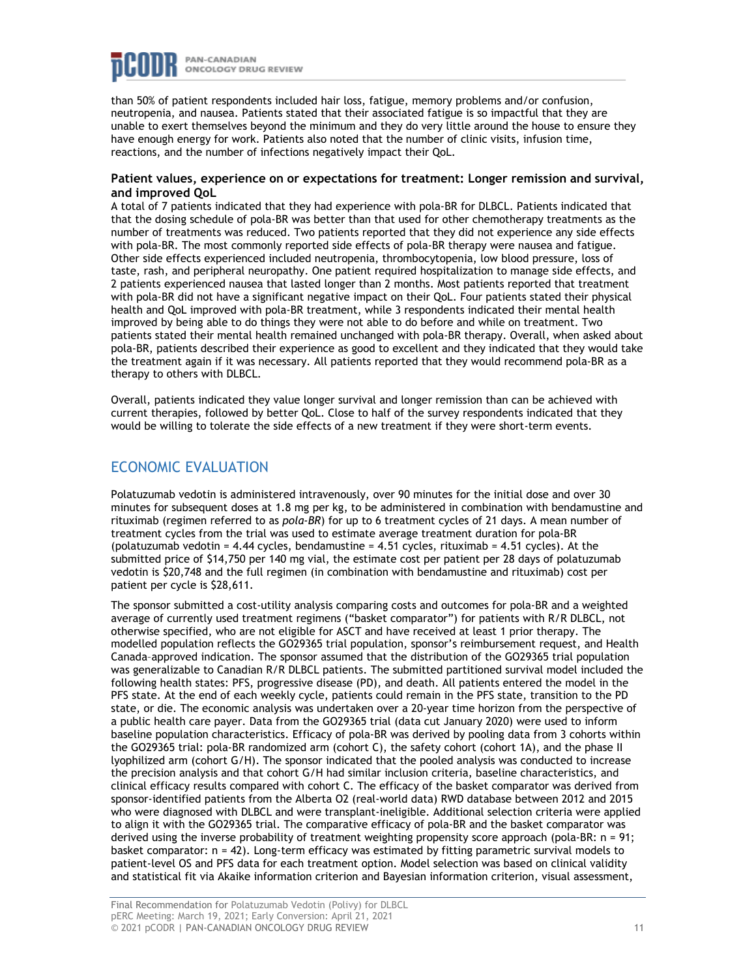

than 50% of patient respondents included hair loss, fatigue, memory problems and/or confusion, neutropenia, and nausea. Patients stated that their associated fatigue is so impactful that they are unable to exert themselves beyond the minimum and they do very little around the house to ensure they have enough energy for work. Patients also noted that the number of clinic visits, infusion time, reactions, and the number of infections negatively impact their QoL.

#### **Patient values, experience on or expectations for treatment: Longer remission and survival, and improved QoL**

A total of 7 patients indicated that they had experience with pola-BR for DLBCL. Patients indicated that that the dosing schedule of pola-BR was better than that used for other chemotherapy treatments as the number of treatments was reduced. Two patients reported that they did not experience any side effects with pola-BR. The most commonly reported side effects of pola-BR therapy were nausea and fatigue. Other side effects experienced included neutropenia, thrombocytopenia, low blood pressure, loss of taste, rash, and peripheral neuropathy. One patient required hospitalization to manage side effects, and 2 patients experienced nausea that lasted longer than 2 months. Most patients reported that treatment with pola-BR did not have a significant negative impact on their QoL. Four patients stated their physical health and QoL improved with pola-BR treatment, while 3 respondents indicated their mental health improved by being able to do things they were not able to do before and while on treatment. Two patients stated their mental health remained unchanged with pola-BR therapy. Overall, when asked about pola-BR, patients described their experience as good to excellent and they indicated that they would take the treatment again if it was necessary. All patients reported that they would recommend pola-BR as a therapy to others with DLBCL.

Overall, patients indicated they value longer survival and longer remission than can be achieved with current therapies, followed by better QoL. Close to half of the survey respondents indicated that they would be willing to tolerate the side effects of a new treatment if they were short-term events.

## ECONOMIC EVALUATION

Polatuzumab vedotin is administered intravenously, over 90 minutes for the initial dose and over 30 minutes for subsequent doses at 1.8 mg per kg, to be administered in combination with bendamustine and rituximab (regimen referred to as *pola-BR*) for up to 6 treatment cycles of 21 days. A mean number of treatment cycles from the trial was used to estimate average treatment duration for pola-BR (polatuzumab vedotin =  $4.44$  cycles, bendamustine =  $4.51$  cycles, rituximab =  $4.51$  cycles). At the submitted price of \$14,750 per 140 mg vial, the estimate cost per patient per 28 days of polatuzumab vedotin is \$20,748 and the full regimen (in combination with bendamustine and rituximab) cost per patient per cycle is \$28,611.

The sponsor submitted a cost-utility analysis comparing costs and outcomes for pola-BR and a weighted average of currently used treatment regimens ("basket comparator") for patients with R/R DLBCL, not otherwise specified, who are not eligible for ASCT and have received at least 1 prior therapy. The modelled population reflects the GO29365 trial population, sponsor's reimbursement request, and Health Canada–approved indication. The sponsor assumed that the distribution of the GO29365 trial population was generalizable to Canadian R/R DLBCL patients. The submitted partitioned survival model included the following health states: PFS, progressive disease (PD), and death. All patients entered the model in the PFS state. At the end of each weekly cycle, patients could remain in the PFS state, transition to the PD state, or die. The economic analysis was undertaken over a 20-year time horizon from the perspective of a public health care payer. Data from the GO29365 trial (data cut January 2020) were used to inform baseline population characteristics. Efficacy of pola-BR was derived by pooling data from 3 cohorts within the GO29365 trial: pola-BR randomized arm (cohort C), the safety cohort (cohort 1A), and the phase II lyophilized arm (cohort G/H). The sponsor indicated that the pooled analysis was conducted to increase the precision analysis and that cohort G/H had similar inclusion criteria, baseline characteristics, and clinical efficacy results compared with cohort C. The efficacy of the basket comparator was derived from sponsor-identified patients from the Alberta O2 (real-world data) RWD database between 2012 and 2015 who were diagnosed with DLBCL and were transplant-ineligible. Additional selection criteria were applied to align it with the GO29365 trial. The comparative efficacy of pola-BR and the basket comparator was derived using the inverse probability of treatment weighting propensity score approach (pola-BR: n = 91; basket comparator: n = 42). Long-term efficacy was estimated by fitting parametric survival models to patient-level OS and PFS data for each treatment option. Model selection was based on clinical validity and statistical fit via Akaike information criterion and Bayesian information criterion, visual assessment,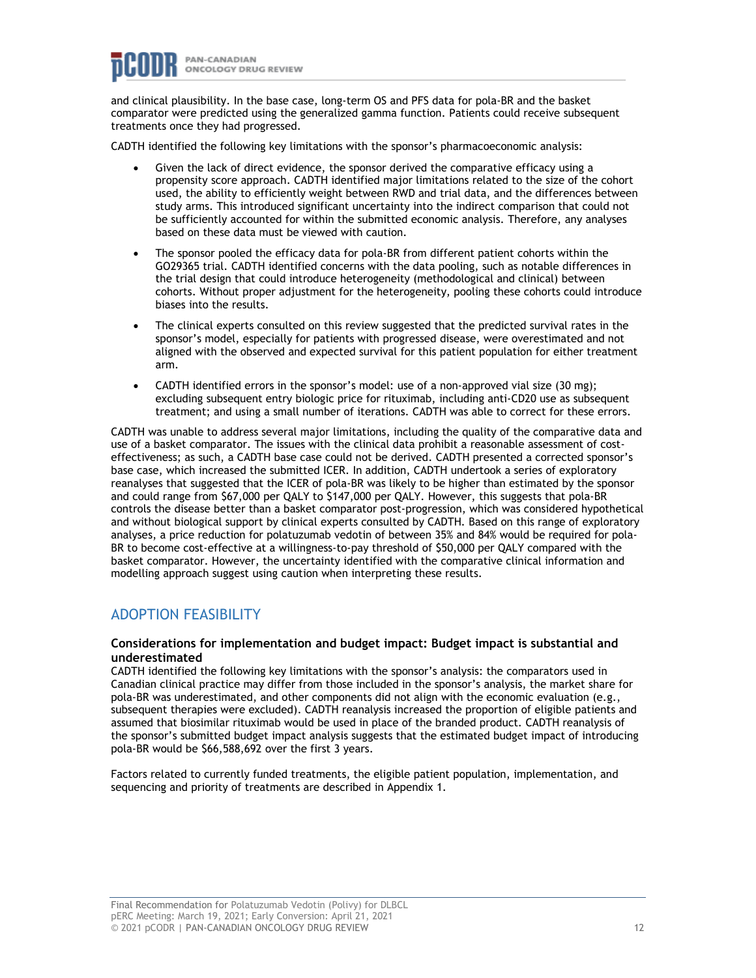

and clinical plausibility. In the base case, long-term OS and PFS data for pola-BR and the basket comparator were predicted using the generalized gamma function. Patients could receive subsequent treatments once they had progressed.

CADTH identified the following key limitations with the sponsor's pharmacoeconomic analysis:

- Given the lack of direct evidence, the sponsor derived the comparative efficacy using a propensity score approach. CADTH identified major limitations related to the size of the cohort used, the ability to efficiently weight between RWD and trial data, and the differences between study arms. This introduced significant uncertainty into the indirect comparison that could not be sufficiently accounted for within the submitted economic analysis. Therefore, any analyses based on these data must be viewed with caution.
- The sponsor pooled the efficacy data for pola-BR from different patient cohorts within the GO29365 trial. CADTH identified concerns with the data pooling, such as notable differences in the trial design that could introduce heterogeneity (methodological and clinical) between cohorts. Without proper adjustment for the heterogeneity, pooling these cohorts could introduce biases into the results.
- The clinical experts consulted on this review suggested that the predicted survival rates in the sponsor's model, especially for patients with progressed disease, were overestimated and not aligned with the observed and expected survival for this patient population for either treatment arm.
- CADTH identified errors in the sponsor's model: use of a non-approved vial size (30 mg); excluding subsequent entry biologic price for rituximab, including anti-CD20 use as subsequent treatment; and using a small number of iterations. CADTH was able to correct for these errors.

CADTH was unable to address several major limitations, including the quality of the comparative data and use of a basket comparator. The issues with the clinical data prohibit a reasonable assessment of costeffectiveness; as such, a CADTH base case could not be derived. CADTH presented a corrected sponsor's base case, which increased the submitted ICER. In addition, CADTH undertook a series of exploratory reanalyses that suggested that the ICER of pola-BR was likely to be higher than estimated by the sponsor and could range from \$67,000 per QALY to \$147,000 per QALY. However, this suggests that pola-BR controls the disease better than a basket comparator post-progression, which was considered hypothetical and without biological support by clinical experts consulted by CADTH. Based on this range of exploratory analyses, a price reduction for polatuzumab vedotin of between 35% and 84% would be required for pola-BR to become cost-effective at a willingness-to-pay threshold of \$50,000 per QALY compared with the basket comparator. However, the uncertainty identified with the comparative clinical information and modelling approach suggest using caution when interpreting these results.

## ADOPTION FEASIBILITY

#### **Considerations for implementation and budget impact: Budget impact is substantial and underestimated**

CADTH identified the following key limitations with the sponsor's analysis: the comparators used in Canadian clinical practice may differ from those included in the sponsor's analysis, the market share for pola-BR was underestimated, and other components did not align with the economic evaluation (e.g., subsequent therapies were excluded). CADTH reanalysis increased the proportion of eligible patients and assumed that biosimilar rituximab would be used in place of the branded product. CADTH reanalysis of the sponsor's submitted budget impact analysis suggests that the estimated budget impact of introducing pola-BR would be \$66,588,692 over the first 3 years.

Factors related to currently funded treatments, the eligible patient population, implementation, and sequencing and priority of treatments are described in Appendix 1.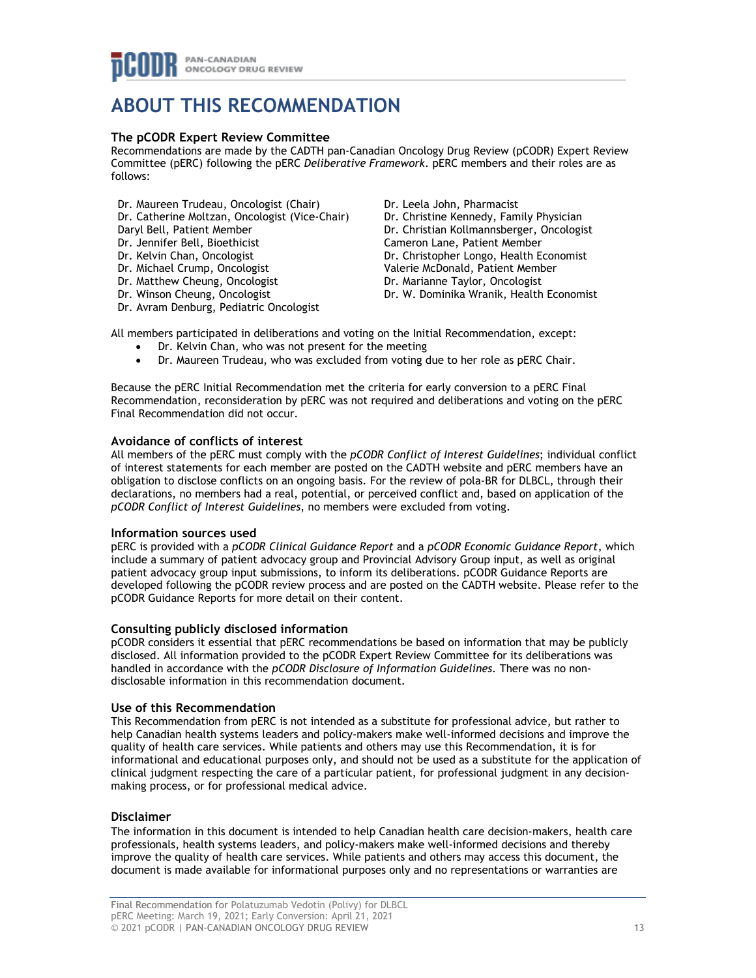## **ABOUT THIS RECOMMENDATION**

#### **The pCODR Expert Review Committee**

Recommendations are made by the CADTH pan-Canadian Oncology Drug Review (pCODR) Expert Review Committee (pERC) following the pERC *Deliberative Framework*. pERC members and their roles are as follows:

- Dr. Maureen Trudeau, Oncologist (Chair)
- Dr. Catherine Moltzan, Oncologist (Vice-Chair)
- Daryl Bell, Patient Member
- Dr. Jennifer Bell, Bioethicist
- Dr. Kelvin Chan, Oncologist
- Dr. Michael Crump, Oncologist
- Dr. Matthew Cheung, Oncologist
- Dr. Winson Cheung, Oncologist
- Dr. Avram Denburg, Pediatric Oncologist

Dr. Leela John, Pharmacist Dr. Christine Kennedy, Family Physician Dr. Christian Kollmannsberger, Oncologist Cameron Lane, Patient Member Dr. Christopher Longo, Health Economist Valerie McDonald, Patient Member Dr. Marianne Taylor, Oncologist Dr. W. Dominika Wranik, Health Economist

All members participated in deliberations and voting on the Initial Recommendation, except:

- Dr. Kelvin Chan, who was not present for the meeting
- Dr. Maureen Trudeau, who was excluded from voting due to her role as pERC Chair.

Because the pERC Initial Recommendation met the criteria for early conversion to a pERC Final Recommendation, reconsideration by pERC was not required and deliberations and voting on the pERC Final Recommendation did not occur.

#### **Avoidance of conflicts of interest**

All members of the pERC must comply with the *pCODR Conflict of Interest Guidelines*; individual conflict of interest statements for each member are posted on the CADTH website and pERC members have an obligation to disclose conflicts on an ongoing basis. For the review of pola-BR for DLBCL, through their declarations, no members had a real, potential, or perceived conflict and, based on application of the *pCODR Conflict of Interest Guidelines*, no members were excluded from voting.

#### **Information sources used**

pERC is provided with a *pCODR Clinical Guidance Report* and a *pCODR Economic Guidance Report*, which include a summary of patient advocacy group and Provincial Advisory Group input, as well as original patient advocacy group input submissions, to inform its deliberations. pCODR Guidance Reports are developed following the pCODR review process and are posted on the CADTH website. Please refer to the pCODR Guidance Reports for more detail on their content.

#### **Consulting publicly disclosed information**

pCODR considers it essential that pERC recommendations be based on information that may be publicly disclosed. All information provided to the pCODR Expert Review Committee for its deliberations was handled in accordance with the *pCODR Disclosure of Information Guidelines*. There was no nondisclosable information in this recommendation document.

#### **Use of this Recommendation**

This Recommendation from pERC is not intended as a substitute for professional advice, but rather to help Canadian health systems leaders and policy-makers make well-informed decisions and improve the quality of health care services. While patients and others may use this Recommendation, it is for informational and educational purposes only, and should not be used as a substitute for the application of clinical judgment respecting the care of a particular patient, for professional judgment in any decisionmaking process, or for professional medical advice.

#### **Disclaimer**

The information in this document is intended to help Canadian health care decision-makers, health care professionals, health systems leaders, and policy-makers make well-informed decisions and thereby improve the quality of health care services. While patients and others may access this document, the document is made available for informational purposes only and no representations or warranties are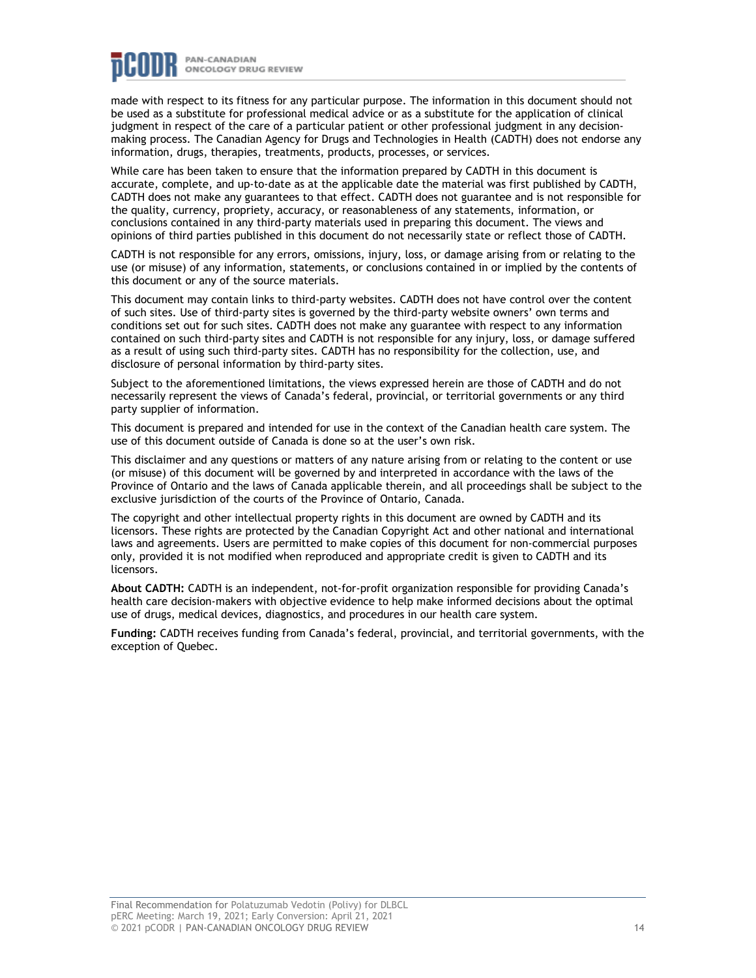

made with respect to its fitness for any particular purpose. The information in this document should not be used as a substitute for professional medical advice or as a substitute for the application of clinical judgment in respect of the care of a particular patient or other professional judgment in any decisionmaking process. The Canadian Agency for Drugs and Technologies in Health (CADTH) does not endorse any information, drugs, therapies, treatments, products, processes, or services.

While care has been taken to ensure that the information prepared by CADTH in this document is accurate, complete, and up-to-date as at the applicable date the material was first published by CADTH, CADTH does not make any guarantees to that effect. CADTH does not guarantee and is not responsible for the quality, currency, propriety, accuracy, or reasonableness of any statements, information, or conclusions contained in any third-party materials used in preparing this document. The views and opinions of third parties published in this document do not necessarily state or reflect those of CADTH.

CADTH is not responsible for any errors, omissions, injury, loss, or damage arising from or relating to the use (or misuse) of any information, statements, or conclusions contained in or implied by the contents of this document or any of the source materials.

This document may contain links to third-party websites. CADTH does not have control over the content of such sites. Use of third-party sites is governed by the third-party website owners' own terms and conditions set out for such sites. CADTH does not make any guarantee with respect to any information contained on such third-party sites and CADTH is not responsible for any injury, loss, or damage suffered as a result of using such third-party sites. CADTH has no responsibility for the collection, use, and disclosure of personal information by third-party sites.

Subject to the aforementioned limitations, the views expressed herein are those of CADTH and do not necessarily represent the views of Canada's federal, provincial, or territorial governments or any third party supplier of information.

This document is prepared and intended for use in the context of the Canadian health care system. The use of this document outside of Canada is done so at the user's own risk.

This disclaimer and any questions or matters of any nature arising from or relating to the content or use (or misuse) of this document will be governed by and interpreted in accordance with the laws of the Province of Ontario and the laws of Canada applicable therein, and all proceedings shall be subject to the exclusive jurisdiction of the courts of the Province of Ontario, Canada.

The copyright and other intellectual property rights in this document are owned by CADTH and its licensors. These rights are protected by the Canadian Copyright Act and other national and international laws and agreements. Users are permitted to make copies of this document for non-commercial purposes only, provided it is not modified when reproduced and appropriate credit is given to CADTH and its licensors.

**About CADTH:** CADTH is an independent, not-for-profit organization responsible for providing Canada's health care decision-makers with objective evidence to help make informed decisions about the optimal use of drugs, medical devices, diagnostics, and procedures in our health care system.

**Funding:** CADTH receives funding from Canada's federal, provincial, and territorial governments, with the exception of Quebec.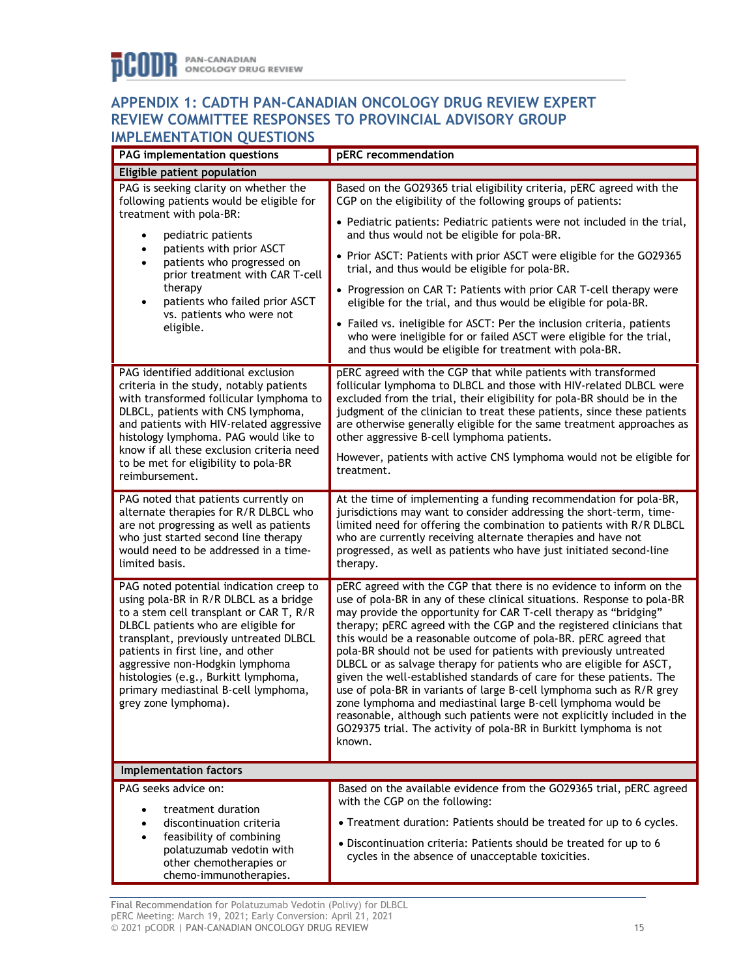## **APPENDIX 1: CADTH PAN-CANADIAN ONCOLOGY DRUG REVIEW EXPERT REVIEW COMMITTEE RESPONSES TO PROVINCIAL ADVISORY GROUP IMPLEMENTATION QUESTIONS**

| PAG implementation questions                                                                                                                                                                                                                                                                                                                                                                  | pERC recommendation                                                                                                                                                                                                                                                                                                                                                                                                                                                                                                                                                                                                                                                                                                                                                                                                                                                                |  |
|-----------------------------------------------------------------------------------------------------------------------------------------------------------------------------------------------------------------------------------------------------------------------------------------------------------------------------------------------------------------------------------------------|------------------------------------------------------------------------------------------------------------------------------------------------------------------------------------------------------------------------------------------------------------------------------------------------------------------------------------------------------------------------------------------------------------------------------------------------------------------------------------------------------------------------------------------------------------------------------------------------------------------------------------------------------------------------------------------------------------------------------------------------------------------------------------------------------------------------------------------------------------------------------------|--|
| Eligible patient population                                                                                                                                                                                                                                                                                                                                                                   |                                                                                                                                                                                                                                                                                                                                                                                                                                                                                                                                                                                                                                                                                                                                                                                                                                                                                    |  |
| PAG is seeking clarity on whether the<br>following patients would be eligible for<br>treatment with pola-BR:<br>pediatric patients<br>$\bullet$<br>patients with prior ASCT<br>$\bullet$<br>patients who progressed on<br>$\bullet$<br>prior treatment with CAR T-cell<br>therapy<br>patients who failed prior ASCT<br>$\bullet$<br>vs. patients who were not<br>eligible.                    | Based on the GO29365 trial eligibility criteria, pERC agreed with the<br>CGP on the eligibility of the following groups of patients:                                                                                                                                                                                                                                                                                                                                                                                                                                                                                                                                                                                                                                                                                                                                               |  |
|                                                                                                                                                                                                                                                                                                                                                                                               | • Pediatric patients: Pediatric patients were not included in the trial,<br>and thus would not be eligible for pola-BR.                                                                                                                                                                                                                                                                                                                                                                                                                                                                                                                                                                                                                                                                                                                                                            |  |
|                                                                                                                                                                                                                                                                                                                                                                                               | • Prior ASCT: Patients with prior ASCT were eligible for the GO29365<br>trial, and thus would be eligible for pola-BR.                                                                                                                                                                                                                                                                                                                                                                                                                                                                                                                                                                                                                                                                                                                                                             |  |
|                                                                                                                                                                                                                                                                                                                                                                                               | • Progression on CAR T: Patients with prior CAR T-cell therapy were<br>eligible for the trial, and thus would be eligible for pola-BR.                                                                                                                                                                                                                                                                                                                                                                                                                                                                                                                                                                                                                                                                                                                                             |  |
|                                                                                                                                                                                                                                                                                                                                                                                               | • Failed vs. ineligible for ASCT: Per the inclusion criteria, patients<br>who were ineligible for or failed ASCT were eligible for the trial,<br>and thus would be eligible for treatment with pola-BR.                                                                                                                                                                                                                                                                                                                                                                                                                                                                                                                                                                                                                                                                            |  |
| PAG identified additional exclusion<br>criteria in the study, notably patients<br>with transformed follicular lymphoma to<br>DLBCL, patients with CNS lymphoma,<br>and patients with HIV-related aggressive<br>histology lymphoma. PAG would like to<br>know if all these exclusion criteria need                                                                                             | pERC agreed with the CGP that while patients with transformed<br>follicular lymphoma to DLBCL and those with HIV-related DLBCL were<br>excluded from the trial, their eligibility for pola-BR should be in the<br>judgment of the clinician to treat these patients, since these patients<br>are otherwise generally eligible for the same treatment approaches as<br>other aggressive B-cell lymphoma patients.                                                                                                                                                                                                                                                                                                                                                                                                                                                                   |  |
| to be met for eligibility to pola-BR<br>reimbursement.                                                                                                                                                                                                                                                                                                                                        | However, patients with active CNS lymphoma would not be eligible for<br>treatment.                                                                                                                                                                                                                                                                                                                                                                                                                                                                                                                                                                                                                                                                                                                                                                                                 |  |
| PAG noted that patients currently on<br>alternate therapies for R/R DLBCL who<br>are not progressing as well as patients<br>who just started second line therapy<br>would need to be addressed in a time-<br>limited basis.                                                                                                                                                                   | At the time of implementing a funding recommendation for pola-BR,<br>jurisdictions may want to consider addressing the short-term, time-<br>limited need for offering the combination to patients with R/R DLBCL<br>who are currently receiving alternate therapies and have not<br>progressed, as well as patients who have just initiated second-line<br>therapy.                                                                                                                                                                                                                                                                                                                                                                                                                                                                                                                |  |
| PAG noted potential indication creep to<br>using pola-BR in R/R DLBCL as a bridge<br>to a stem cell transplant or CAR T, R/R<br>DLBCL patients who are eligible for<br>transplant, previously untreated DLBCL<br>patients in first line, and other<br>aggressive non-Hodgkin lymphoma<br>histologies (e.g., Burkitt lymphoma,<br>primary mediastinal B-cell lymphoma,<br>grey zone lymphoma). | pERC agreed with the CGP that there is no evidence to inform on the<br>use of pola-BR in any of these clinical situations. Response to pola-BR<br>may provide the opportunity for CAR T-cell therapy as "bridging"<br>therapy; pERC agreed with the CGP and the registered clinicians that<br>this would be a reasonable outcome of pola-BR. pERC agreed that<br>pola-BR should not be used for patients with previously untreated<br>DLBCL or as salvage therapy for patients who are eligible for ASCT,<br>given the well-established standards of care for these patients. The<br>use of pola-BR in variants of large B-cell lymphoma such as R/R grey<br>zone lymphoma and mediastinal large B-cell lymphoma would be<br>reasonable, although such patients were not explicitly included in the<br>GO29375 trial. The activity of pola-BR in Burkitt lymphoma is not<br>known. |  |
| Implementation factors                                                                                                                                                                                                                                                                                                                                                                        |                                                                                                                                                                                                                                                                                                                                                                                                                                                                                                                                                                                                                                                                                                                                                                                                                                                                                    |  |
| PAG seeks advice on:                                                                                                                                                                                                                                                                                                                                                                          | Based on the available evidence from the GO29365 trial, pERC agreed                                                                                                                                                                                                                                                                                                                                                                                                                                                                                                                                                                                                                                                                                                                                                                                                                |  |
| treatment duration                                                                                                                                                                                                                                                                                                                                                                            | with the CGP on the following:                                                                                                                                                                                                                                                                                                                                                                                                                                                                                                                                                                                                                                                                                                                                                                                                                                                     |  |
| discontinuation criteria<br>$\bullet$<br>feasibility of combining<br>$\bullet$<br>polatuzumab vedotin with<br>other chemotherapies or<br>chemo-immunotherapies.                                                                                                                                                                                                                               | • Treatment duration: Patients should be treated for up to 6 cycles.                                                                                                                                                                                                                                                                                                                                                                                                                                                                                                                                                                                                                                                                                                                                                                                                               |  |
|                                                                                                                                                                                                                                                                                                                                                                                               | • Discontinuation criteria: Patients should be treated for up to 6<br>cycles in the absence of unacceptable toxicities.                                                                                                                                                                                                                                                                                                                                                                                                                                                                                                                                                                                                                                                                                                                                                            |  |

Final Recommendation for Polatuzumab Vedotin (Polivy) for DLBCL pERC Meeting: March 19, 2021; Early Conversion: April 21, 2021 © 2021 pCODR | PAN-CANADIAN ONCOLOGY DRUG REVIEW 15